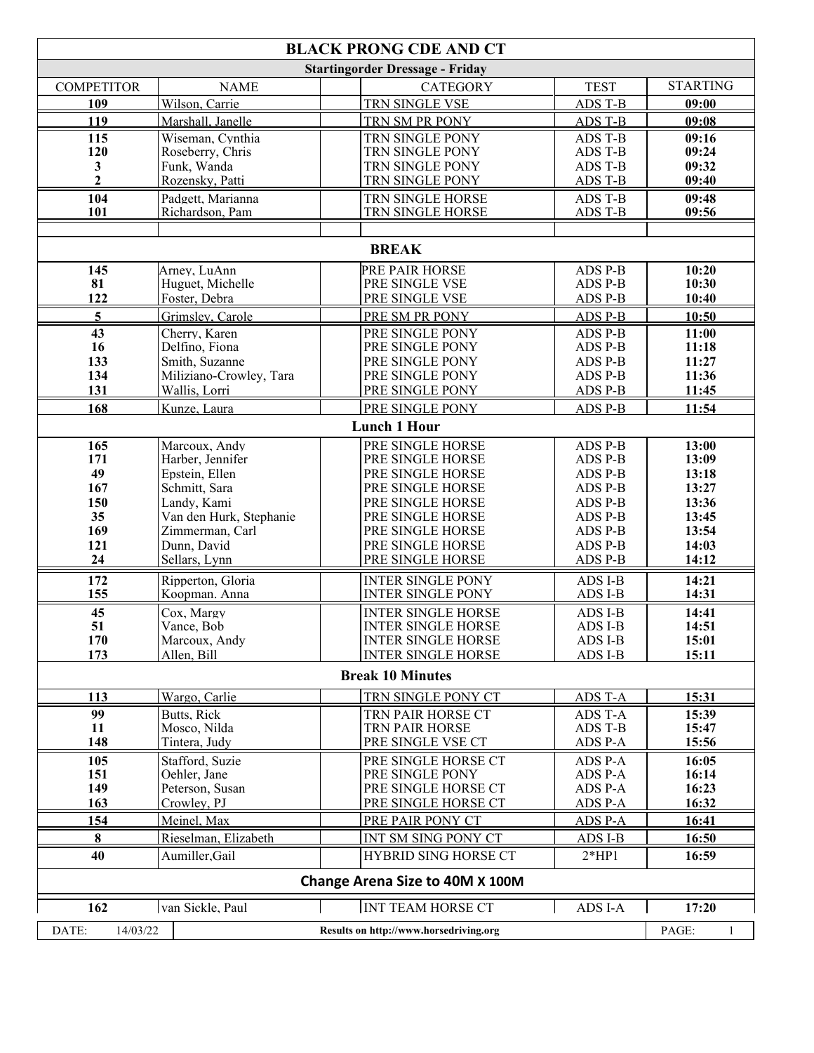| <b>BLACK PRONG CDE AND CT</b>          |                                      |                                        |                    |                       |  |  |  |
|----------------------------------------|--------------------------------------|----------------------------------------|--------------------|-----------------------|--|--|--|
| <b>Startingorder Dressage - Friday</b> |                                      |                                        |                    |                       |  |  |  |
| <b>COMPETITOR</b>                      | <b>NAME</b>                          | <b>CATEGORY</b>                        | <b>TEST</b>        | <b>STARTING</b>       |  |  |  |
| 109                                    | Wilson, Carrie                       | TRN SINGLE VSE                         | ADS T-B            | 09:00                 |  |  |  |
| 119                                    | Marshall, Janelle                    | TRN SM PR PONY                         | ADS T-B            | 09:08                 |  |  |  |
| 115                                    | Wiseman, Cynthia                     | TRN SINGLE PONY                        | ADS T-B            | 09:16                 |  |  |  |
| 120                                    | Roseberry, Chris                     | TRN SINGLE PONY                        | ADS T-B            | 09:24                 |  |  |  |
| 3<br>2                                 | Funk, Wanda<br>Rozensky, Patti       | TRN SINGLE PONY<br>TRN SINGLE PONY     | ADS T-B<br>ADS T-B | 09:32<br>09:40        |  |  |  |
|                                        |                                      |                                        |                    |                       |  |  |  |
| 104<br>101                             | Padgett, Marianna<br>Richardson, Pam | TRN SINGLE HORSE<br>TRN SINGLE HORSE   | ADS T-B<br>ADS T-B | 09:48<br>09:56        |  |  |  |
|                                        |                                      |                                        |                    |                       |  |  |  |
| <b>BREAK</b>                           |                                      |                                        |                    |                       |  |  |  |
| 145                                    | Arney, LuAnn                         | PRE PAIR HORSE                         | ADS P-B            | 10:20                 |  |  |  |
| 81                                     | Huguet, Michelle                     | PRE SINGLE VSE                         | ADS P-B            | 10:30                 |  |  |  |
| 122                                    | Foster, Debra                        | PRE SINGLE VSE                         | ADS P-B            | 10:40                 |  |  |  |
| $\overline{5}$                         | Grimsley, Carole                     | PRE SM PR PONY                         | ADS P-B            | 10:50                 |  |  |  |
| 43                                     | Cherry, Karen                        | PRE SINGLE PONY                        | ADS P-B            | 11:00                 |  |  |  |
| 16<br>133                              | Delfino, Fiona<br>Smith, Suzanne     | PRE SINGLE PONY<br>PRE SINGLE PONY     | ADS P-B<br>ADS P-B | 11:18<br>11:27        |  |  |  |
| 134                                    | Miliziano-Crowley, Tara              | PRE SINGLE PONY                        | ADS P-B            | 11:36                 |  |  |  |
| 131                                    | Wallis, Lorri                        | PRE SINGLE PONY                        | ADS P-B            | 11:45                 |  |  |  |
| 168                                    | Kunze, Laura                         | PRE SINGLE PONY                        | <b>ADS P-B</b>     | 11:54                 |  |  |  |
| <b>Lunch 1 Hour</b>                    |                                      |                                        |                    |                       |  |  |  |
| 165                                    | Marcoux, Andy                        | PRE SINGLE HORSE                       | ADS P-B            | 13:00                 |  |  |  |
| 171                                    | Harber, Jennifer                     | PRE SINGLE HORSE                       | ADS P-B            | 13:09                 |  |  |  |
| 49                                     | Epstein, Ellen                       | PRE SINGLE HORSE                       | ADS P-B            | 13:18                 |  |  |  |
| 167<br>150                             | Schmitt, Sara<br>Landy, Kami         | PRE SINGLE HORSE<br>PRE SINGLE HORSE   | ADS P-B<br>ADS P-B | 13:27<br>13:36        |  |  |  |
| 35                                     | Van den Hurk, Stephanie              | PRE SINGLE HORSE                       | ADS P-B            | 13:45                 |  |  |  |
| 169                                    | Zimmerman, Carl                      | PRE SINGLE HORSE                       | ADS P-B            | 13:54                 |  |  |  |
| 121                                    | Dunn, David                          | PRE SINGLE HORSE                       | ADS P-B            | 14:03                 |  |  |  |
| 24                                     | Sellars, Lynn                        | PRE SINGLE HORSE                       | ADS P-B            | 14:12                 |  |  |  |
| 172                                    | Ripperton, Gloria                    | <b>INTER SINGLE PONY</b>               | ADS I-B            | 14:21                 |  |  |  |
| 155                                    | Koopman. Anna                        | <b>INTER SINGLE PONY</b>               | ADS I-B            | 14:31                 |  |  |  |
| 45                                     | Cox, Margy                           | <b>INTER SINGLE HORSE</b>              | ADS I-B            | 14:41                 |  |  |  |
| 51                                     | Vance, Bob                           | <b>INTER SINGLE HORSE</b>              | ADS I-B            | 14:51                 |  |  |  |
| 170                                    | Marcoux, Andy                        | <b>INTER SINGLE HORSE</b>              | ADS I-B            | 15:01                 |  |  |  |
| 173                                    | Allen, Bill                          | <b>INTER SINGLE HORSE</b>              | ADS I-B            | 15:11                 |  |  |  |
| <b>Break 10 Minutes</b>                |                                      |                                        |                    |                       |  |  |  |
| 113                                    | Wargo, Carlie                        | TRN SINGLE PONY CT                     | ADS T-A            | 15:31                 |  |  |  |
| 99                                     | Butts, Rick                          | TRN PAIR HORSE CT                      | ADS T-A            | 15:39                 |  |  |  |
| 11<br>148                              | Mosco, Nilda<br>Tintera, Judy        | TRN PAIR HORSE<br>PRE SINGLE VSE CT    | ADS T-B<br>ADS P-A | 15:47<br>15:56        |  |  |  |
|                                        | Stafford, Suzie                      |                                        |                    |                       |  |  |  |
| 105<br>151                             | Oehler, Jane                         | PRE SINGLE HORSE CT<br>PRE SINGLE PONY | ADS P-A<br>ADS P-A | 16:05<br>16:14        |  |  |  |
| 149                                    | Peterson, Susan                      | PRE SINGLE HORSE CT                    | ADS P-A            | 16:23                 |  |  |  |
| 163                                    | Crowley, PJ                          | PRE SINGLE HORSE CT                    | ADS P-A            | 16:32                 |  |  |  |
| 154                                    | Meinel, Max                          | PRE PAIR PONY CT                       | ADS P-A            | 16:41                 |  |  |  |
| 8                                      | Rieselman, Elizabeth                 | INT SM SING PONY CT                    | ADS I-B            | 16:50                 |  |  |  |
| 40                                     | Aumiller, Gail                       | <b>HYBRID SING HORSE CT</b>            | $2*HP1$            | 16:59                 |  |  |  |
| Change Arena Size to 40M X 100M        |                                      |                                        |                    |                       |  |  |  |
| 162                                    | van Sickle, Paul                     | <b>INT TEAM HORSE CT</b>               | ADS I-A            | 17:20                 |  |  |  |
| DATE:<br>14/03/22                      |                                      | Results on http://www.horsedriving.org |                    | PAGE:<br>$\mathbf{1}$ |  |  |  |